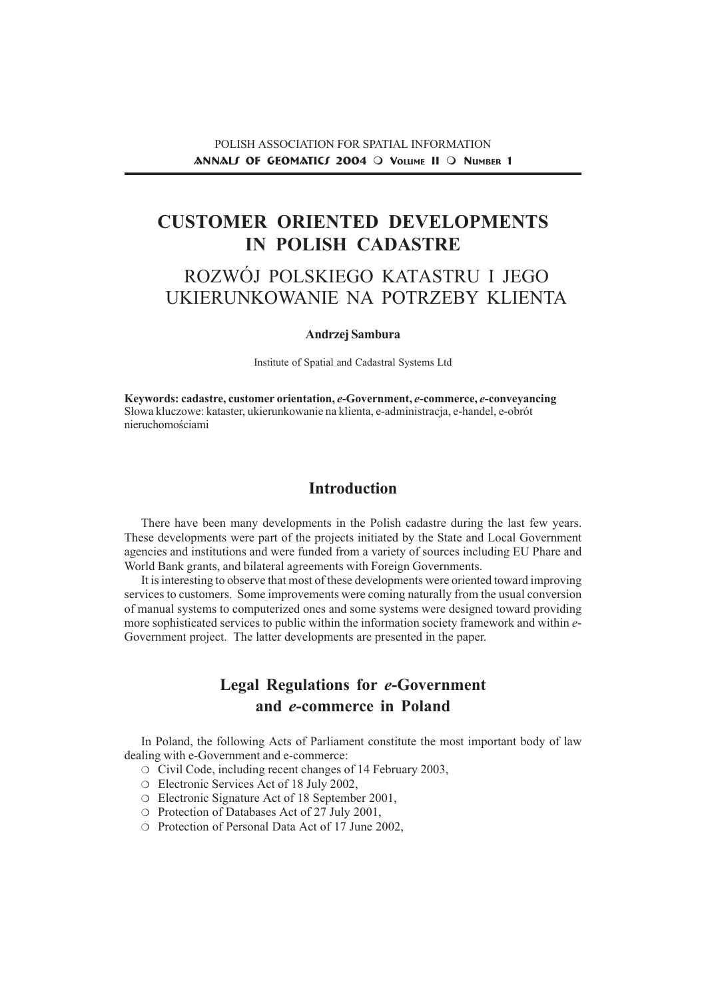# CUSTOMER ORIENTED DEVELOPMENTS IN POLISH CADASTRE

# ROZWÓJ POLSKIEGO KATASTRU I JEGO UKIERUNKOWANIE NA POTRZEBY KLIENTA

#### Andrzej Sambura

Institute of Spatial and Cadastral Systems Ltd

Keywords: cadastre, customer orientation, e-Government, e-commerce, e-conveyancing S³owa kluczowe: kataster, ukierunkowanie na klienta, e-administracja, e-handel, e-obrót nieruchomościami

## **Introduction**

There have been many developments in the Polish cadastre during the last few years. These developments were part of the projects initiated by the State and Local Government agencies and institutions and were funded from a variety of sources including EU Phare and World Bank grants, and bilateral agreements with Foreign Governments.

It is interesting to observe that most of these developments were oriented toward improving services to customers. Some improvements were coming naturally from the usual conversion of manual systems to computerized ones and some systems were designed toward providing more sophisticated services to public within the information society framework and within e-Government project. The latter developments are presented in the paper.

## Legal Regulations for e-Government and e-commerce in Poland

In Poland, the following Acts of Parliament constitute the most important body of law dealing with e-Government and e-commerce:

- ❍ Civil Code, including recent changes of 14 February 2003,
- ❍ Electronic Services Act of 18 July 2002,
- ❍ Electronic Signature Act of 18 September 2001,
- ❍ Protection of Databases Act of 27 July 2001,
- ❍ Protection of Personal Data Act of 17 June 2002,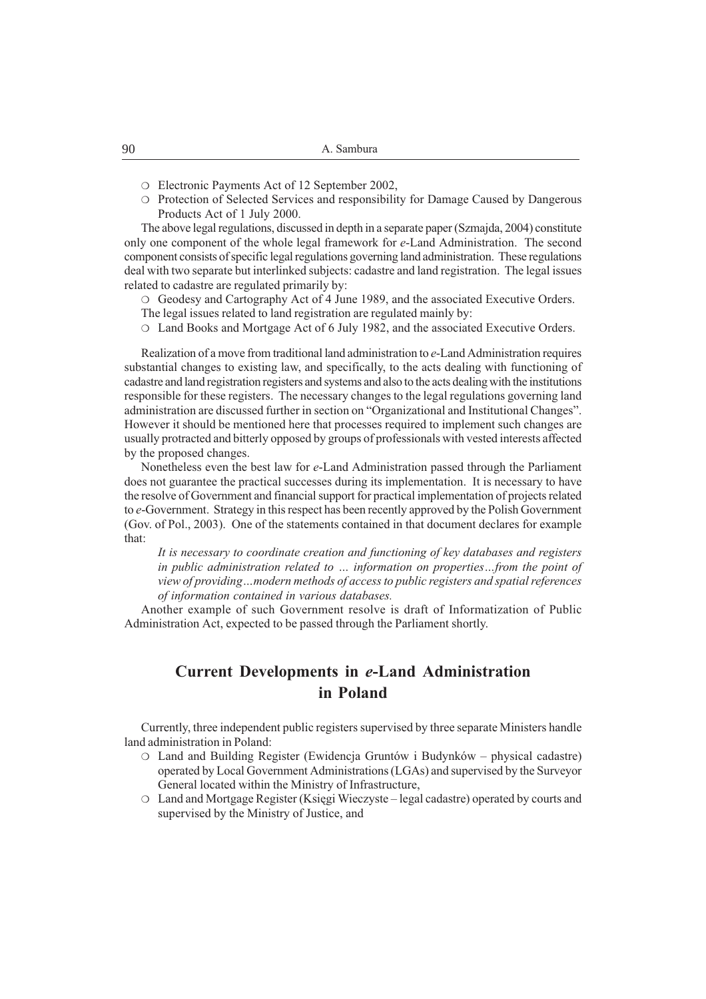- ❍ Electronic Payments Act of 12 September 2002,
- ❍ Protection of Selected Services and responsibility for Damage Caused by Dangerous Products Act of 1 July 2000.

The above legal regulations, discussed in depth in a separate paper (Szmajda, 2004) constitute only one component of the whole legal framework for e-Land Administration. The second component consists of specific legal regulations governing land administration. These regulations deal with two separate but interlinked subjects: cadastre and land registration. The legal issues related to cadastre are regulated primarily by:

❍ Geodesy and Cartography Act of 4 June 1989, and the associated Executive Orders. The legal issues related to land registration are regulated mainly by:

❍ Land Books and Mortgage Act of 6 July 1982, and the associated Executive Orders.

Realization of a move from traditional land administration to e-Land Administration requires substantial changes to existing law, and specifically, to the acts dealing with functioning of cadastre and land registration registers and systems and also to the acts dealing with the institutions responsible for these registers. The necessary changes to the legal regulations governing land administration are discussed further in section on "Organizational and Institutional Changes". However it should be mentioned here that processes required to implement such changes are usually protracted and bitterly opposed by groups of professionals with vested interests affected by the proposed changes.

Nonetheless even the best law for e-Land Administration passed through the Parliament does not guarantee the practical successes during its implementation. It is necessary to have the resolve of Government and financial support for practical implementation of projects related to e-Government. Strategy in this respect has been recently approved by the Polish Government (Gov. of Pol., 2003). One of the statements contained in that document declares for example that:

It is necessary to coordinate creation and functioning of key databases and registers in public administration related to  $\ldots$  information on properties $\ldots$  from the point of view of providing...modern methods of access to public registers and spatial references of information contained in various databases.

Another example of such Government resolve is draft of Informatization of Public Administration Act, expected to be passed through the Parliament shortly.

## Current Developments in e-Land Administration in Poland

Currently, three independent public registers supervised by three separate Ministers handle land administration in Poland:

- ❍ Land and Building Register (Ewidencja Gruntów i Budynków physical cadastre) operated by Local Government Administrations (LGAs) and supervised by the Surveyor General located within the Ministry of Infrastructure,
- ❍ Land and Mortgage Register (Ksiêgi Wieczyste legal cadastre) operated by courts and supervised by the Ministry of Justice, and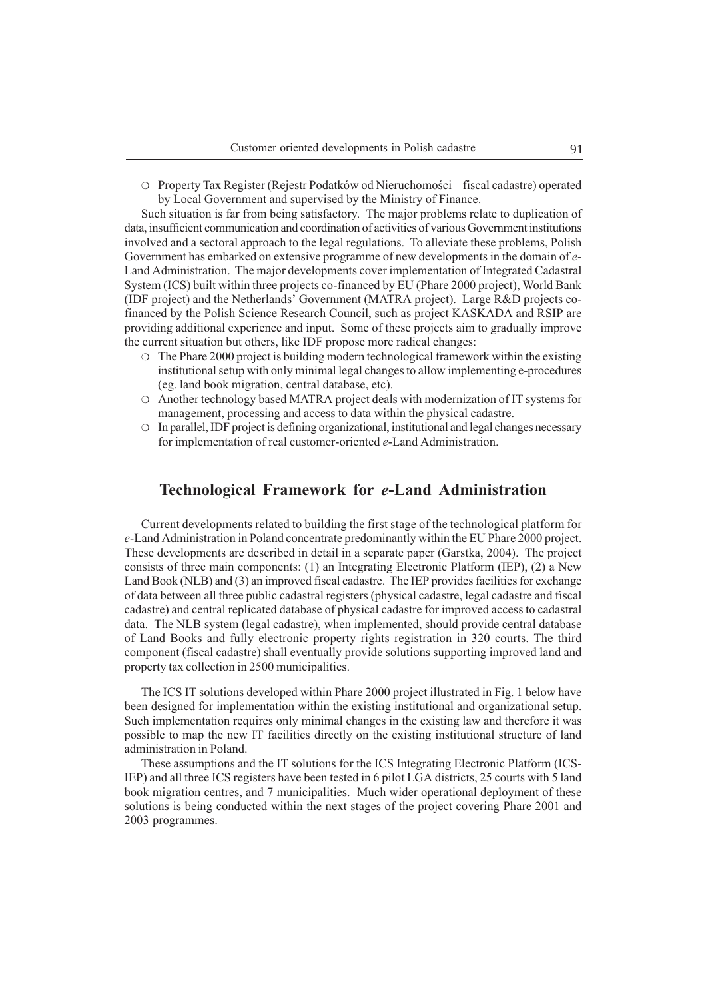O Property Tax Register (Rejestr Podatków od Nieruchomości – fiscal cadastre) operated by Local Government and supervised by the Ministry of Finance.

Such situation is far from being satisfactory. The major problems relate to duplication of data, insufficient communication and coordination of activities of various Government institutions involved and a sectoral approach to the legal regulations. To alleviate these problems, Polish Government has embarked on extensive programme of new developments in the domain of e-Land Administration. The major developments cover implementation of Integrated Cadastral System (ICS) built within three projects co-financed by EU (Phare 2000 project), World Bank (IDF project) and the Netherlands Government (MATRA project). Large R&D projects cofinanced by the Polish Science Research Council, such as project KASKADA and RSIP are providing additional experience and input. Some of these projects aim to gradually improve the current situation but others, like IDF propose more radical changes:

- ❍ The Phare 2000 project is building modern technological framework within the existing institutional setup with only minimal legal changes to allow implementing e-procedures (eg. land book migration, central database, etc).
- ❍ Another technology based MATRA project deals with modernization of IT systems for management, processing and access to data within the physical cadastre.
- ❍ In parallel, IDF project is defining organizational, institutional and legal changes necessary for implementation of real customer-oriented e-Land Administration.

#### Technological Framework for e-Land Administration

Current developments related to building the first stage of the technological platform for e-Land Administration in Poland concentrate predominantly within the EU Phare 2000 project. These developments are described in detail in a separate paper (Garstka, 2004). The project consists of three main components: (1) an Integrating Electronic Platform (IEP), (2) a New Land Book (NLB) and (3) an improved fiscal cadastre. The IEP provides facilities for exchange of data between all three public cadastral registers (physical cadastre, legal cadastre and fiscal cadastre) and central replicated database of physical cadastre for improved access to cadastral data. The NLB system (legal cadastre), when implemented, should provide central database of Land Books and fully electronic property rights registration in 320 courts. The third component (fiscal cadastre) shall eventually provide solutions supporting improved land and property tax collection in 2500 municipalities.

The ICS IT solutions developed within Phare 2000 project illustrated in Fig. 1 below have been designed for implementation within the existing institutional and organizational setup. Such implementation requires only minimal changes in the existing law and therefore it was possible to map the new IT facilities directly on the existing institutional structure of land administration in Poland.

These assumptions and the IT solutions for the ICS Integrating Electronic Platform (ICS-IEP) and all three ICS registers have been tested in 6 pilot LGA districts, 25 courts with 5 land book migration centres, and 7 municipalities. Much wider operational deployment of these solutions is being conducted within the next stages of the project covering Phare 2001 and 2003 programmes.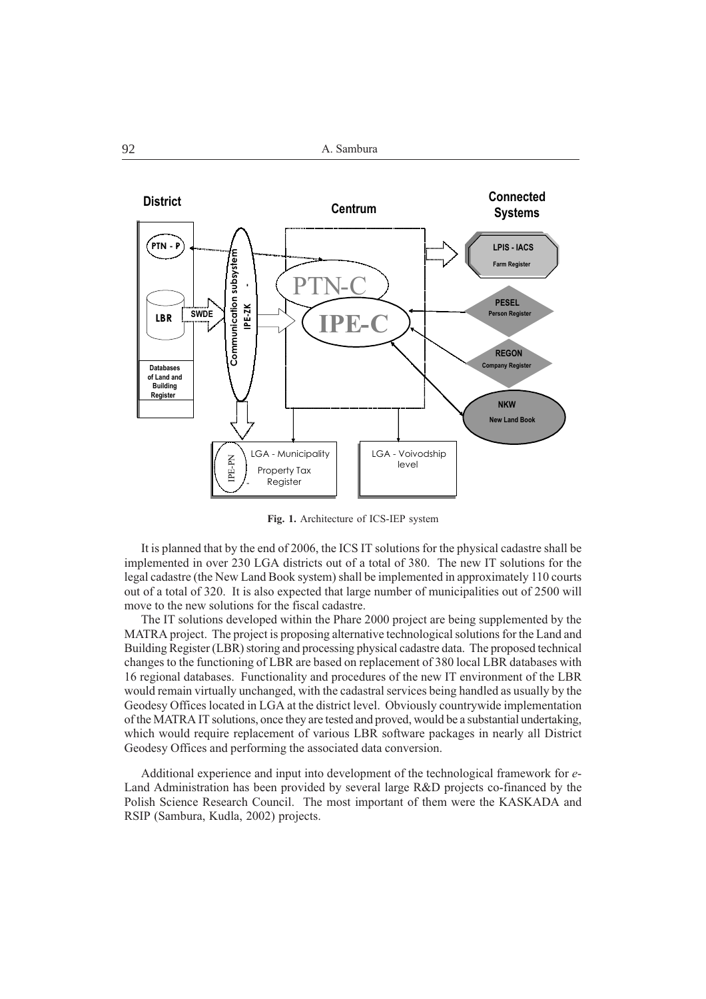

Fig. 1. Architecture of ICS-IEP system

It is planned that by the end of 2006, the ICS IT solutions for the physical cadastre shall be implemented in over 230 LGA districts out of a total of 380. The new IT solutions for the legal cadastre (the New Land Book system) shall be implemented in approximately 110 courts out of a total of 320. It is also expected that large number of municipalities out of 2500 will move to the new solutions for the fiscal cadastre.

The IT solutions developed within the Phare 2000 project are being supplemented by the MATRA project. The project is proposing alternative technological solutions for the Land and Building Register (LBR) storing and processing physical cadastre data. The proposed technical changes to the functioning of LBR are based on replacement of 380 local LBR databases with 16 regional databases. Functionality and procedures of the new IT environment of the LBR would remain virtually unchanged, with the cadastral services being handled as usually by the Geodesy Offices located in LGA at the district level. Obviously countrywide implementation of the MATRA IT solutions, once they are tested and proved, would be a substantial undertaking, which would require replacement of various LBR software packages in nearly all District Geodesy Offices and performing the associated data conversion.

Additional experience and input into development of the technological framework for e-Land Administration has been provided by several large R&D projects co-financed by the Polish Science Research Council. The most important of them were the KASKADA and RSIP (Sambura, Kudla, 2002) projects.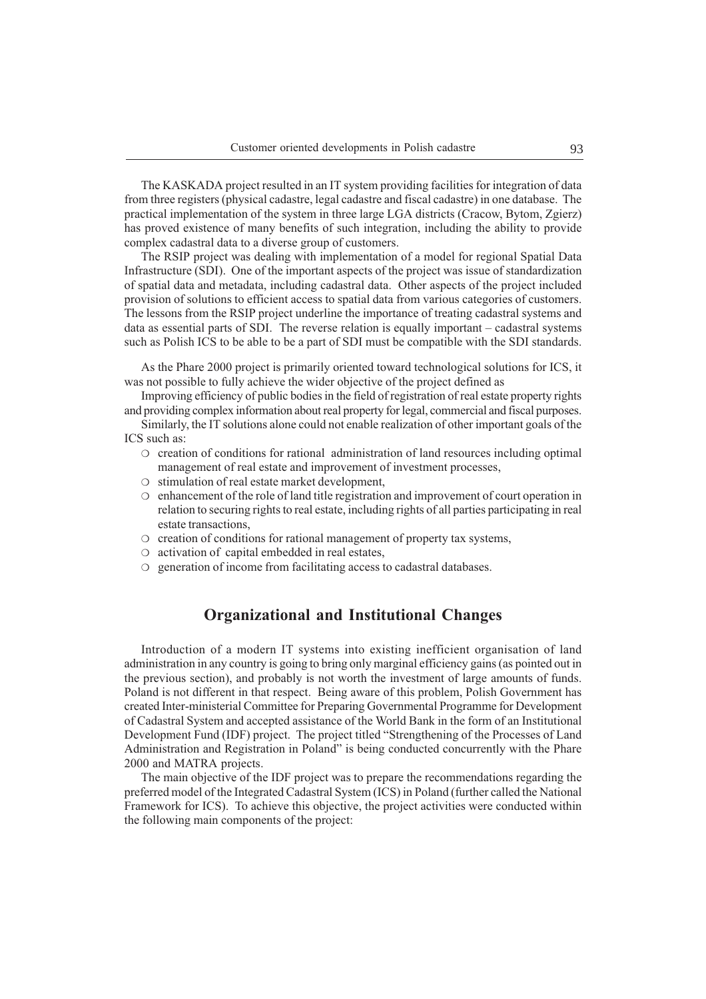The KASKADA project resulted in an IT system providing facilities for integration of data from three registers (physical cadastre, legal cadastre and fiscal cadastre) in one database. The practical implementation of the system in three large LGA districts (Cracow, Bytom, Zgierz) has proved existence of many benefits of such integration, including the ability to provide complex cadastral data to a diverse group of customers.

The RSIP project was dealing with implementation of a model for regional Spatial Data Infrastructure (SDI). One of the important aspects of the project was issue of standardization of spatial data and metadata, including cadastral data. Other aspects of the project included provision of solutions to efficient access to spatial data from various categories of customers. The lessons from the RSIP project underline the importance of treating cadastral systems and data as essential parts of SDI. The reverse relation is equally important – cadastral systems such as Polish ICS to be able to be a part of SDI must be compatible with the SDI standards.

As the Phare 2000 project is primarily oriented toward technological solutions for ICS, it was not possible to fully achieve the wider objective of the project defined as

Improving efficiency of public bodies in the field of registration of real estate property rights and providing complex information about real property for legal, commercial and fiscal purposes.

Similarly, the IT solutions alone could not enable realization of other important goals of the ICS such as:

- ❍ creation of conditions for rational administration of land resources including optimal management of real estate and improvement of investment processes,
- ❍ stimulation of real estate market development,
- ❍ enhancement of the role of land title registration and improvement of court operation in relation to securing rights to real estate, including rights of all parties participating in real estate transactions,
- ❍ creation of conditions for rational management of property tax systems,
- ❍ activation of capital embedded in real estates,
- ❍ generation of income from facilitating access to cadastral databases.

### Organizational and Institutional Changes

Introduction of a modern IT systems into existing inefficient organisation of land administration in any country is going to bring only marginal efficiency gains (as pointed out in the previous section), and probably is not worth the investment of large amounts of funds. Poland is not different in that respect. Being aware of this problem, Polish Government has created Inter-ministerial Committee for Preparing Governmental Programme for Development of Cadastral System and accepted assistance of the World Bank in the form of an Institutional Development Fund (IDF) project. The project titled "Strengthening of the Processes of Land Administration and Registration in Poland" is being conducted concurrently with the Phare 2000 and MATRA projects.

The main objective of the IDF project was to prepare the recommendations regarding the preferred model of the Integrated Cadastral System (ICS) in Poland (further called the National Framework for ICS). To achieve this objective, the project activities were conducted within the following main components of the project: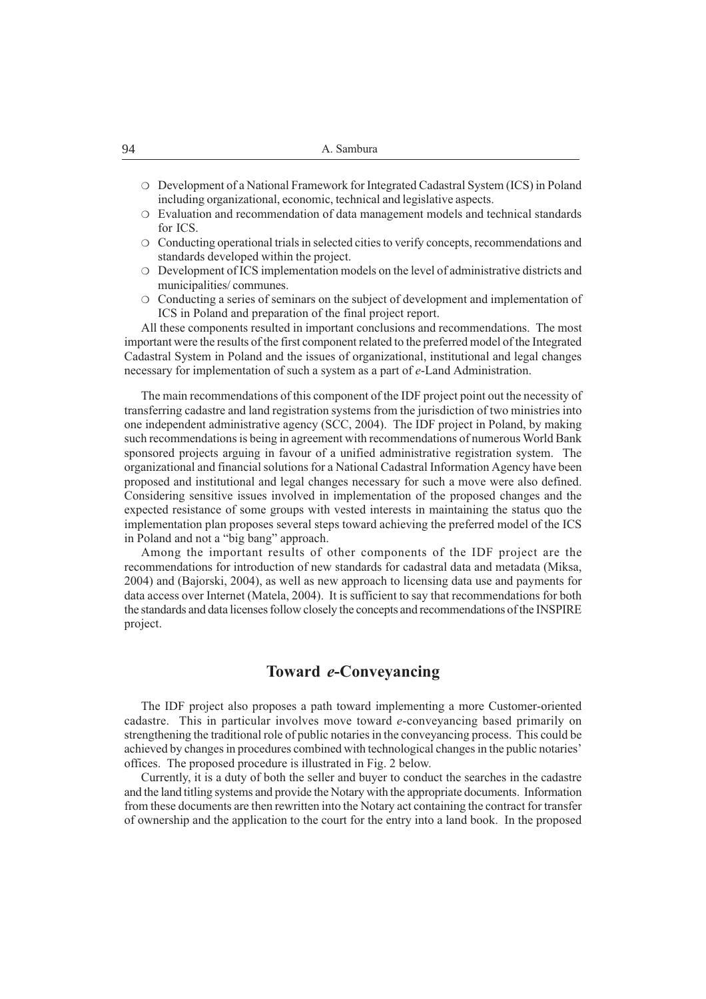- ❍ Development of a National Framework for Integrated Cadastral System (ICS) in Poland including organizational, economic, technical and legislative aspects.
- ❍ Evaluation and recommendation of data management models and technical standards for ICS.
- ❍ Conducting operational trials in selected cities to verify concepts, recommendations and standards developed within the project.
- ❍ Development of ICS implementation models on the level of administrative districts and municipalities/ communes.
- ❍ Conducting a series of seminars on the subject of development and implementation of ICS in Poland and preparation of the final project report.

All these components resulted in important conclusions and recommendations. The most important were the results of the first component related to the preferred model of the Integrated Cadastral System in Poland and the issues of organizational, institutional and legal changes necessary for implementation of such a system as a part of e-Land Administration.

The main recommendations of this component of the IDF project point out the necessity of transferring cadastre and land registration systems from the jurisdiction of two ministries into one independent administrative agency (SCC, 2004). The IDF project in Poland, by making such recommendations is being in agreement with recommendations of numerous World Bank sponsored projects arguing in favour of a unified administrative registration system. The organizational and financial solutions for a National Cadastral Information Agency have been proposed and institutional and legal changes necessary for such a move were also defined. Considering sensitive issues involved in implementation of the proposed changes and the expected resistance of some groups with vested interests in maintaining the status quo the implementation plan proposes several steps toward achieving the preferred model of the ICS in Poland and not a "big bang" approach.

Among the important results of other components of the IDF project are the recommendations for introduction of new standards for cadastral data and metadata (Miksa, 2004) and (Bajorski, 2004), as well as new approach to licensing data use and payments for data access over Internet (Matela, 2004). It is sufficient to say that recommendations for both the standards and data licenses follow closely the concepts and recommendations of the INSPIRE project.

### Toward e-Conveyancing

The IDF project also proposes a path toward implementing a more Customer-oriented cadastre. This in particular involves move toward e-conveyancing based primarily on strengthening the traditional role of public notaries in the conveyancing process. This could be achieved by changes in procedures combined with technological changes in the public notaries offices. The proposed procedure is illustrated in Fig. 2 below.

Currently, it is a duty of both the seller and buyer to conduct the searches in the cadastre and the land titling systems and provide the Notary with the appropriate documents. Information from these documents are then rewritten into the Notary act containing the contract for transfer of ownership and the application to the court for the entry into a land book. In the proposed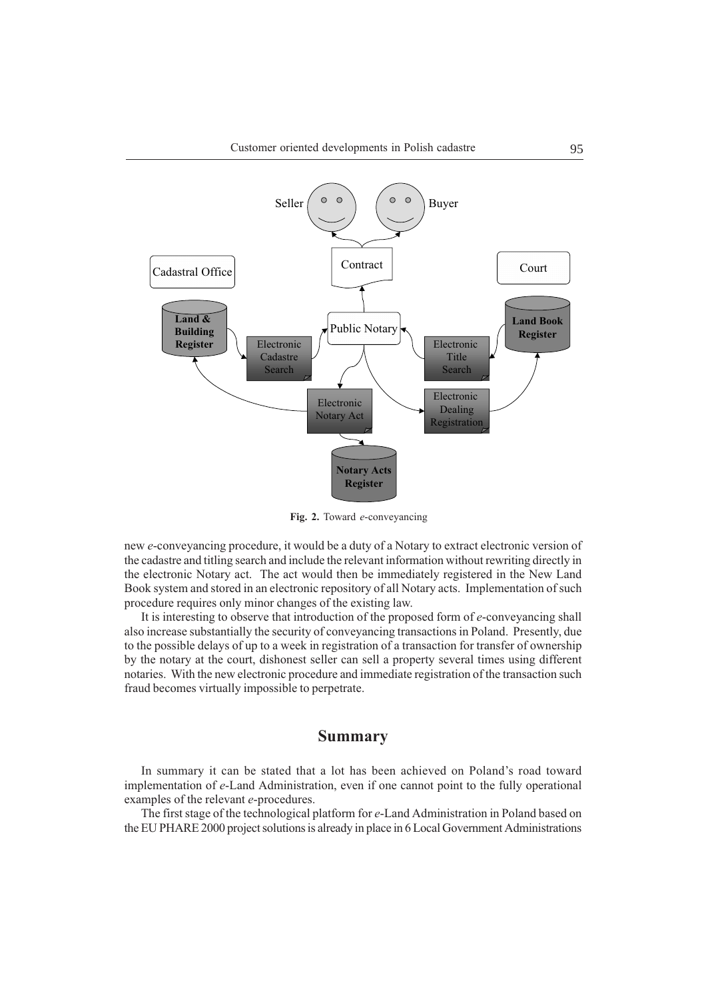

Fig. 2. Toward e-conveyancing

new e-conveyancing procedure, it would be a duty of a Notary to extract electronic version of the cadastre and titling search and include the relevant information without rewriting directly in the electronic Notary act. The act would then be immediately registered in the New Land Book system and stored in an electronic repository of all Notary acts. Implementation of such procedure requires only minor changes of the existing law.

It is interesting to observe that introduction of the proposed form of e-conveyancing shall also increase substantially the security of conveyancing transactions in Poland. Presently, due to the possible delays of up to a week in registration of a transaction for transfer of ownership by the notary at the court, dishonest seller can sell a property several times using different notaries. With the new electronic procedure and immediate registration of the transaction such fraud becomes virtually impossible to perpetrate.

#### Summary

In summary it can be stated that a lot has been achieved on Poland's road toward implementation of e-Land Administration, even if one cannot point to the fully operational examples of the relevant e-procedures.

The first stage of the technological platform for e-Land Administration in Poland based on the EU PHARE 2000 project solutions is already in place in 6 Local Government Administrations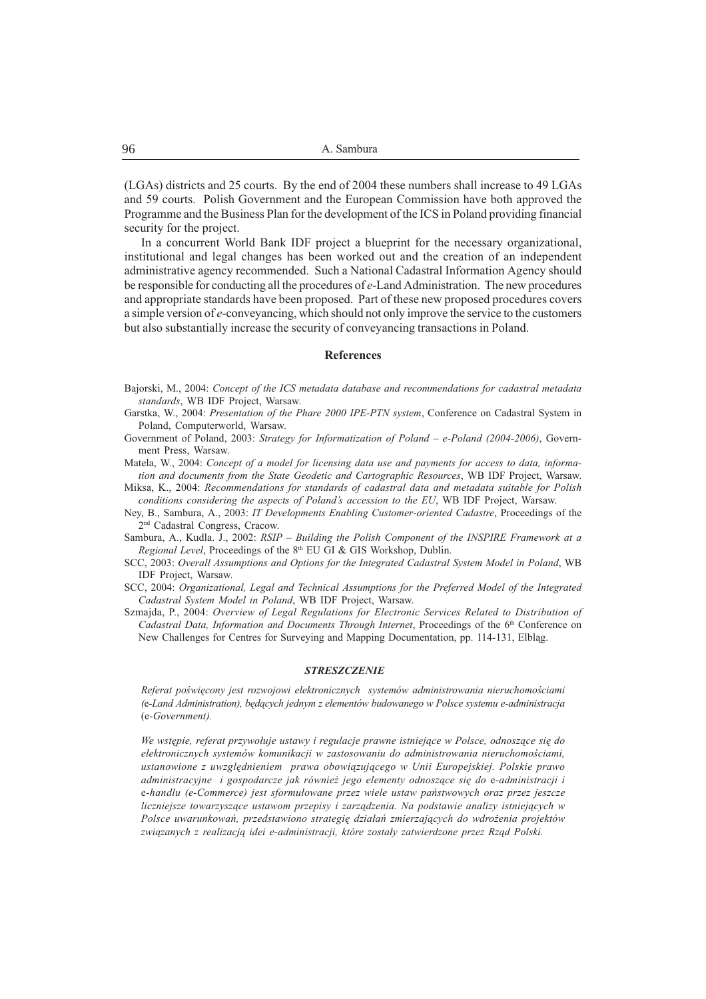(LGAs) districts and 25 courts. By the end of 2004 these numbers shall increase to 49 LGAs and 59 courts. Polish Government and the European Commission have both approved the Programme and the Business Plan for the development of the ICS in Poland providing financial security for the project.

In a concurrent World Bank IDF project a blueprint for the necessary organizational, institutional and legal changes has been worked out and the creation of an independent administrative agency recommended. Such a National Cadastral Information Agency should be responsible for conducting all the procedures of e-Land Administration. The new procedures and appropriate standards have been proposed. Part of these new proposed procedures covers a simple version of e-conveyancing, which should not only improve the service to the customers but also substantially increase the security of conveyancing transactions in Poland.

#### References

- Bajorski, M., 2004: Concept of the ICS metadata database and recommendations for cadastral metadata standards, WB IDF Project, Warsaw.
- Garstka, W., 2004: Presentation of the Phare 2000 IPE-PTN system, Conference on Cadastral System in Poland, Computerworld, Warsaw.
- Government of Poland, 2003: Strategy for Informatization of Poland  $-e$ -Poland (2004-2006), Government Press, Warsaw.
- Matela, W., 2004: Concept of a model for licensing data use and payments for access to data, information and documents from the State Geodetic and Cartographic Resources, WB IDF Project, Warsaw.
- Miksa, K., 2004: Recommendations for standards of cadastral data and metadata suitable for Polish conditions considering the aspects of Poland's accession to the EU, WB IDF Project, Warsaw.
- Ney, B., Sambura, A., 2003: IT Developments Enabling Customer-oriented Cadastre, Proceedings of the 2nd Cadastral Congress, Cracow.
- Sambura, A., Kudla. J., 2002: RSIP Building the Polish Component of the INSPIRE Framework at a Regional Level, Proceedings of the  $8<sup>th</sup>$  EU GI & GIS Workshop, Dublin.
- SCC, 2003: Overall Assumptions and Options for the Integrated Cadastral System Model in Poland, WB IDF Project, Warsaw.
- SCC, 2004: Organizational, Legal and Technical Assumptions for the Preferred Model of the Integrated Cadastral System Model in Poland, WB IDF Project, Warsaw.
- Szmajda, P., 2004: Overview of Legal Regulations for Electronic Services Related to Distribution of Cadastral Data, Information and Documents Through Internet, Proceedings of the 6<sup>th</sup> Conference on New Challenges for Centres for Surveying and Mapping Documentation, pp. 114-131, Elbląg.

#### **STRESZCZENIE**

Referat poświęcony jest rozwojowi elektronicznych systemów administrowania nieruchomościami (e-Land Administration), będących jednym z elementów budowanego w Polsce systemu e-administracja (e-Government).

We wstępie, referat przywołuje ustawy i regulacje prawne istniejące w Polsce, odnoszące się do elektronicznych systemów komunikacji w zastosowaniu do administrowania nieruchomościami, ustanowione z uwzględnieniem prawa obowiązującego w Unii Europejskiej. Polskie prawo administracyjne i gospodarcze jak również jego elementy odnoszące się do e-administracji i e-handlu (e-Commerce) jest sformułowane przez wiele ustaw państwowych oraz przez jeszcze liczniejsze towarzyszace ustawom przepisy i zarzadzenia. Na podstawie analizy istniejacych w Polsce uwarunkowań, przedstawiono strategię działań zmierzających do wdrożenia projektów związanych z realizacją idei e-administracji, które zostały zatwierdzone przez Rząd Polski.